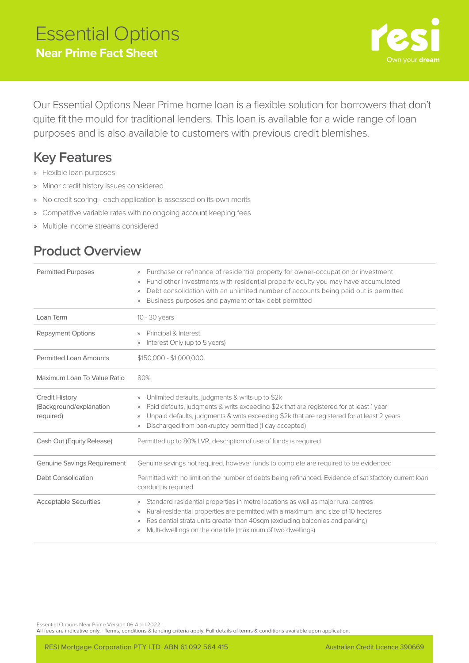

Our Essential Options Near Prime home loan is a flexible solution for borrowers that don't quite fit the mould for traditional lenders. This loan is available for a wide range of loan purposes and is also available to customers with previous credit blemishes.

## **Key Features**

- » Flexible loan purposes
- » Minor credit history issues considered
- » No credit scoring each application is assessed on its own merits
- » Competitive variable rates with no ongoing account keeping fees
- » Multiple income streams considered

## **Product Overview**

| <b>Permitted Purposes</b>                                     | Purchase or refinance of residential property for owner-occupation or investment<br>$\rangle\!\rangle$<br>Fund other investments with residential property equity you may have accumulated<br>$\rangle$<br>Debt consolidation with an unlimited number of accounts being paid out is permitted<br>$\rangle\!\rangle$<br>Business purposes and payment of tax debt permitted<br>$\rangle\!\rangle$      |  |  |
|---------------------------------------------------------------|--------------------------------------------------------------------------------------------------------------------------------------------------------------------------------------------------------------------------------------------------------------------------------------------------------------------------------------------------------------------------------------------------------|--|--|
| Loan Term                                                     | 10 - 30 years                                                                                                                                                                                                                                                                                                                                                                                          |  |  |
| <b>Repayment Options</b>                                      | Principal & Interest<br>$\rangle$<br>Interest Only (up to 5 years)<br>$\gg$                                                                                                                                                                                                                                                                                                                            |  |  |
| <b>Permitted Loan Amounts</b>                                 | $$150,000 - $1,000,000$                                                                                                                                                                                                                                                                                                                                                                                |  |  |
| Maximum Loan To Value Ratio                                   | 80%                                                                                                                                                                                                                                                                                                                                                                                                    |  |  |
| <b>Credit History</b><br>(Background/explanation<br>required) | Unlimited defaults, judgments & writs up to \$2k<br>$\rangle\!\rangle$<br>Paid defaults, judgments & writs exceeding \$2k that are registered for at least 1 year<br>$\rangle\!\rangle$<br>Unpaid defaults, judgments & writs exceeding \$2k that are registered for at least 2 years<br>$\rangle$<br>Discharged from bankruptcy permitted (1 day accepted)<br>$\rangle\!\rangle$                      |  |  |
| Cash Out (Equity Release)                                     | Permitted up to 80% LVR, description of use of funds is required                                                                                                                                                                                                                                                                                                                                       |  |  |
| <b>Genuine Savings Requirement</b>                            | Genuine savings not required, however funds to complete are required to be evidenced                                                                                                                                                                                                                                                                                                                   |  |  |
| Debt Consolidation                                            | Permitted with no limit on the number of debts being refinanced. Evidence of satisfactory current loan<br>conduct is required                                                                                                                                                                                                                                                                          |  |  |
| <b>Acceptable Securities</b>                                  | Standard residential properties in metro locations as well as major rural centres<br>$\rangle$<br>Rural-residential properties are permitted with a maximum land size of 10 hectares<br>$\rangle\!\rangle$<br>Residential strata units greater than 40sqm (excluding balconies and parking)<br>$\rangle\!\rangle$<br>Multi-dwellings on the one title (maximum of two dwellings)<br>$\rangle\!\rangle$ |  |  |

Essential Options Near Prime Version 06 April 2022

All fees are indicative only. Terms, conditions & lending criteria apply. Full details of terms & conditions available upon application.